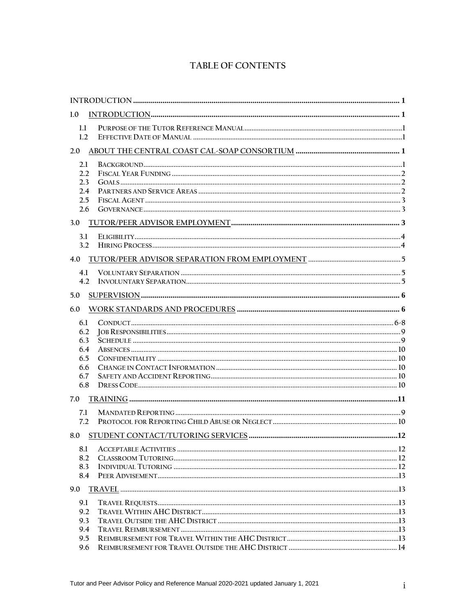# TABLE OF CONTENTS

| 1.0        |  |  |  |
|------------|--|--|--|
| 1.1        |  |  |  |
| 1.2        |  |  |  |
| 2.0        |  |  |  |
| 2.1        |  |  |  |
| 2.2        |  |  |  |
| 2.3        |  |  |  |
| 2.4        |  |  |  |
| 2.5        |  |  |  |
| 2.6        |  |  |  |
| 3.0        |  |  |  |
| 3.1        |  |  |  |
| 3.2        |  |  |  |
| 4.0        |  |  |  |
| 4.1        |  |  |  |
| 4.2        |  |  |  |
| 5.0        |  |  |  |
| 6.0        |  |  |  |
|            |  |  |  |
| 6.1        |  |  |  |
| 6.2<br>6.3 |  |  |  |
| 6.4        |  |  |  |
| 6.5        |  |  |  |
| 6.6        |  |  |  |
| 6.7        |  |  |  |
| 6.8        |  |  |  |
| 7.0        |  |  |  |
| 7.1        |  |  |  |
| 7.2        |  |  |  |
| 8.0        |  |  |  |
|            |  |  |  |
| 8.1<br>8.2 |  |  |  |
| 8.3        |  |  |  |
| 8.4        |  |  |  |
| 9.0        |  |  |  |
| 9.1        |  |  |  |
| 9.2        |  |  |  |
| 9.3        |  |  |  |
| 9.4        |  |  |  |
| 9.5        |  |  |  |
| 9.6        |  |  |  |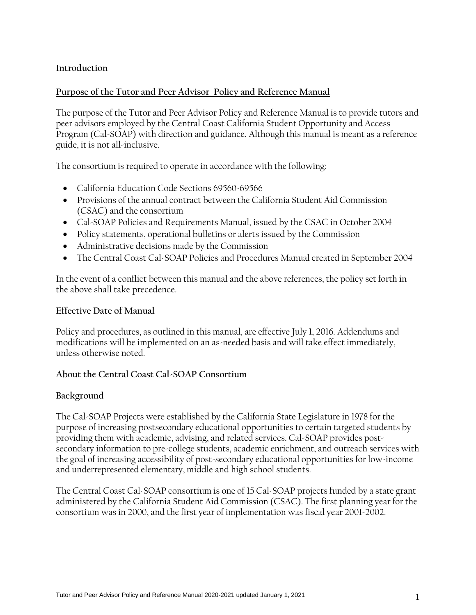# **Introduction**

# **Purpose of the Tutor and Peer Advisor Policy and Reference Manual**

The purpose of the Tutor and Peer Advisor Policy and Reference Manual is to provide tutors and peer advisors employed by the Central Coast California Student Opportunity and Access Program (Cal-SOAP) with direction and guidance. Although this manual is meant as a reference guide, it is not all-inclusive.

The consortium is required to operate in accordance with the following:

- California Education Code Sections 69560-69566
- Provisions of the annual contract between the California Student Aid Commission (CSAC) and the consortium
- Cal-SOAP Policies and Requirements Manual, issued by the CSAC in October 2004
- Policy statements, operational bulletins or alerts issued by the Commission
- Administrative decisions made by the Commission
- The Central Coast Cal-SOAP Policies and Procedures Manual created in September 2004

In the event of a conflict between this manual and the above references, the policy set forth in the above shall take precedence.

#### **Effective Date of Manual**

Policy and procedures, as outlined in this manual, are effective July 1, 2016. Addendums and modifications will be implemented on an as-needed basis and will take effect immediately, unless otherwise noted.

# **About the Central Coast Cal-SOAP Consortium**

# **Background**

The Cal-SOAP Projects were established by the California State Legislature in 1978 for the purpose of increasing postsecondary educational opportunities to certain targeted students by providing them with academic, advising, and related services. Cal-SOAP provides postsecondary information to pre-college students, academic enrichment, and outreach services with the goal of increasing accessibility of post-secondary educational opportunities for low-income and underrepresented elementary, middle and high school students.

The Central Coast Cal-SOAP consortium is one of 15 Cal-SOAP projects funded by a state grant administered by the California Student Aid Commission (CSAC). The first planning year for the consortium was in 2000, and the first year of implementation was fiscal year 2001-2002.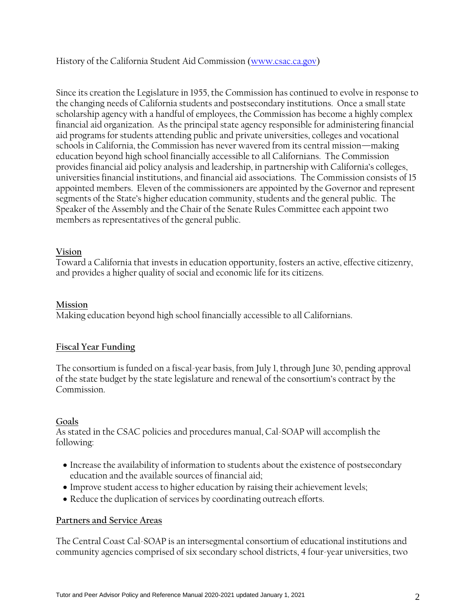History of the California Student Aid Commission [\(www.csac.ca.gov\)](http://www.csac.ca.gov/)

Since its creation the Legislature in 1955, the Commission has continued to evolve in response to the changing needs of California students and postsecondary institutions. Once a small state scholarship agency with a handful of employees, the Commission has become a highly complex financial aid organization. As the principal state agency responsible for administering financial aid programs for students attending public and private universities, colleges and vocational schools in California, the Commission has never wavered from its central mission—making education beyond high school financially accessible to all Californians. The Commission provides financial aid policy analysis and leadership, in partnership with California's colleges, universities financial institutions, and financial aid associations. The Commission consists of 15 appointed members. Eleven of the commissioners are appointed by the Governor and represent segments of the State's higher education community, students and the general public. The Speaker of the Assembly and the Chair of the Senate Rules Committee each appoint two members as representatives of the general public.

#### **Vision**

Toward a California that invests in education opportunity, fosters an active, effective citizenry, and provides a higher quality of social and economic life for its citizens.

#### **Mission**

Making education beyond high school financially accessible to all Californians.

# **Fiscal Year Funding**

The consortium is funded on a fiscal-year basis, from July 1, through June 30, pending approval of the state budget by the state legislature and renewal of the consortium's contract by the Commission.

#### **Goals**

As stated in the CSAC policies and procedures manual, Cal-SOAP will accomplish the following:

- Increase the availability of information to students about the existence of postsecondary education and the available sources of financial aid;
- Improve student access to higher education by raising their achievement levels;
- Reduce the duplication of services by coordinating outreach efforts.

#### **Partners and Service Areas**

The Central Coast Cal-SOAP is an intersegmental consortium of educational institutions and community agencies comprised of six secondary school districts, 4 four-year universities, two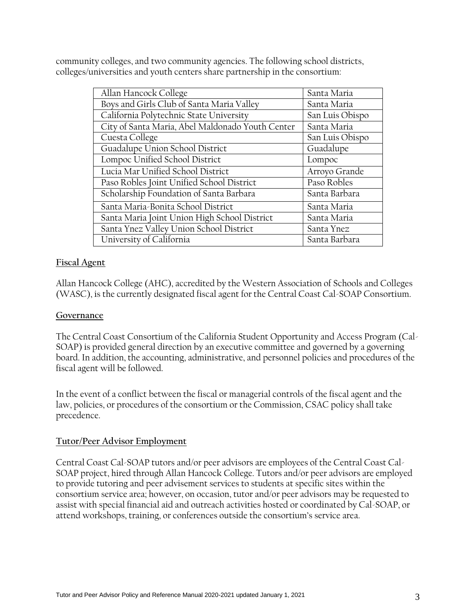community colleges, and two community agencies. The following school districts, colleges/universities and youth centers share partnership in the consortium:

| Allan Hancock College                            | Santa Maria     |
|--------------------------------------------------|-----------------|
| Boys and Girls Club of Santa Maria Valley        | Santa Maria     |
| California Polytechnic State University          | San Luis Obispo |
| City of Santa Maria, Abel Maldonado Youth Center | Santa Maria     |
| Cuesta College                                   | San Luis Obispo |
| Guadalupe Union School District                  | Guadalupe       |
| Lompoc Unified School District                   | Lompoc          |
| Lucia Mar Unified School District                | Arroyo Grande   |
| Paso Robles Joint Unified School District        | Paso Robles     |
| Scholarship Foundation of Santa Barbara          | Santa Barbara   |
| Santa Maria-Bonita School District               | Santa Maria     |
| Santa Maria Joint Union High School District     | Santa Maria     |
| Santa Ynez Valley Union School District          | Santa Ynez      |
| University of California                         | Santa Barbara   |

# **Fiscal Agent**

Allan Hancock College (AHC), accredited by the Western Association of Schools and Colleges (WASC), is the currently designated fiscal agent for the Central Coast Cal-SOAP Consortium.

#### **Governance**

The Central Coast Consortium of the California Student Opportunity and Access Program (Cal-SOAP) is provided general direction by an executive committee and governed by a governing board. In addition, the accounting, administrative, and personnel policies and procedures of the fiscal agent will be followed.

In the event of a conflict between the fiscal or managerial controls of the fiscal agent and the law, policies, or procedures of the consortium or the Commission, CSAC policy shall take precedence.

#### **Tutor/Peer Advisor Employment**

Central Coast Cal-SOAP tutors and/or peer advisors are employees of the Central Coast Cal-SOAP project, hired through Allan Hancock College. Tutors and/or peer advisors are employed to provide tutoring and peer advisement services to students at specific sites within the consortium service area; however, on occasion, tutor and/or peer advisors may be requested to assist with special financial aid and outreach activities hosted or coordinated by Cal-SOAP, or attend workshops, training, or conferences outside the consortium's service area.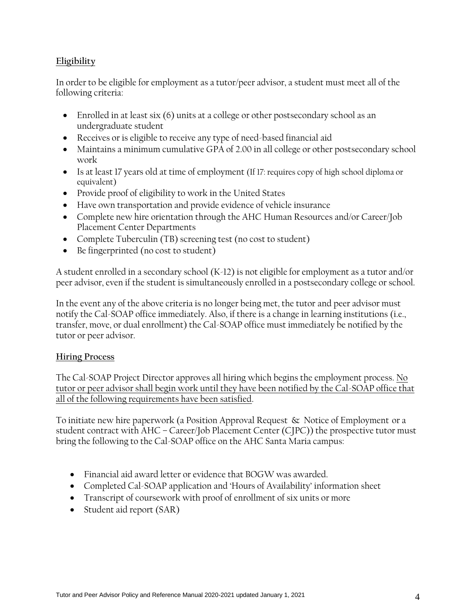# **Eligibility**

In order to be eligible for employment as a tutor/peer advisor, a student must meet all of the following criteria:

- Enrolled in at least six (6) units at a college or other postsecondary school as an undergraduate student
- Receives or is eligible to receive any type of need-based financial aid
- Maintains a minimum cumulative GPA of 2.00 in all college or other postsecondary school work
- Is at least 17 years old at time of employment (If 17: requires copy of high school diploma or equivalent)
- Provide proof of eligibility to work in the United States
- Have own transportation and provide evidence of vehicle insurance
- Complete new hire orientation through the AHC Human Resources and/or Career/Job Placement Center Departments
- Complete Tuberculin (TB) screening test (no cost to student)
- Be fingerprinted (no cost to student)

A student enrolled in a secondary school (K-12) is not eligible for employment as a tutor and/or peer advisor, even if the student is simultaneously enrolled in a postsecondary college or school.

In the event any of the above criteria is no longer being met, the tutor and peer advisor must notify the Cal-SOAP office immediately. Also, if there is a change in learning institutions (i.e., transfer, move, or dual enrollment) the Cal-SOAP office must immediately be notified by the tutor or peer advisor.

# **Hiring Process**

The Cal-SOAP Project Director approves all hiring which begins the employment process. No tutor or peer advisor shall begin work until they have been notified by the Cal-SOAP office that all of the following requirements have been satisfied.

To initiate new hire paperwork (a Position Approval Request & Notice of Employment or a student contract with AHC – Career/Job Placement Center (CJPC)) the prospective tutor must bring the following to the Cal-SOAP office on the AHC Santa Maria campus:

- Financial aid award letter or evidence that BOGW was awarded.
- Completed Cal-SOAP application and 'Hours of Availability' information sheet
- Transcript of coursework with proof of enrollment of six units or more
- Student aid report (SAR)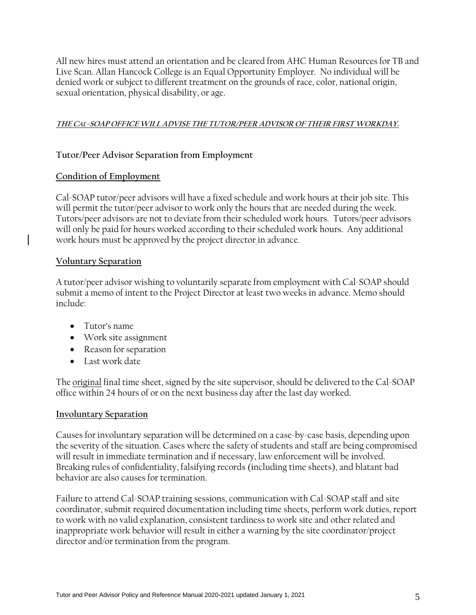All new hires must attend an orientation and be cleared from AHC Human Resources for TB and Live Scan. Allan Hancock College is an Equal Opportunity Employer. No individual will be denied work or subject to different treatment on the grounds of race, color, national origin, sexual orientation, physical disability, or age.

# **THE CAL-SOAP OFFICEWILL ADVISE THE TUTOR/PEER ADVISOR OF THEIR FIRSTWORKDAY.**

# **Tutor/Peer Advisor Separation from Employment**

# **Condition of Employment**

Cal-SOAP tutor/peer advisors will have a fixed schedule and work hours at their job site. This will permit the tutor/peer advisor to work only the hours that are needed during the week. Tutors/peer advisors are not to deviate from their scheduled work hours. Tutors/peer advisors will only be paid for hours worked according to their scheduled work hours. Any additional work hours must be approved by the project director in advance.

# **Voluntary Separation**

A tutor/peer advisor wishing to voluntarily separate from employment with Cal-SOAP should submit a memo of intent to the Project Director at least two weeks in advance. Memo should include:

- Tutor's name
- Work site assignment
- Reason for separation
- Last work date

The original final time sheet, signed by the site supervisor, should be delivered to the Cal-SOAP office within 24 hours of or on the next business day after the last day worked.

# **Involuntary Separation**

Causes for involuntary separation will be determined on a case-by-case basis, depending upon the severity of the situation. Cases where the safety of students and staff are being compromised will result in immediate termination and if necessary, law enforcement will be involved. Breaking rules of confidentiality, falsifying records (including time sheets), and blatant bad behavior are also causes for termination.

Failure to attend Cal-SOAP training sessions, communication with Cal-SOAP staff and site coordinator, submit required documentation including time sheets, perform work duties, report to work with no valid explanation, consistent tardiness to work site and other related and inappropriate work behavior will result in either a warning by the site coordinator/project director and/or termination from the program.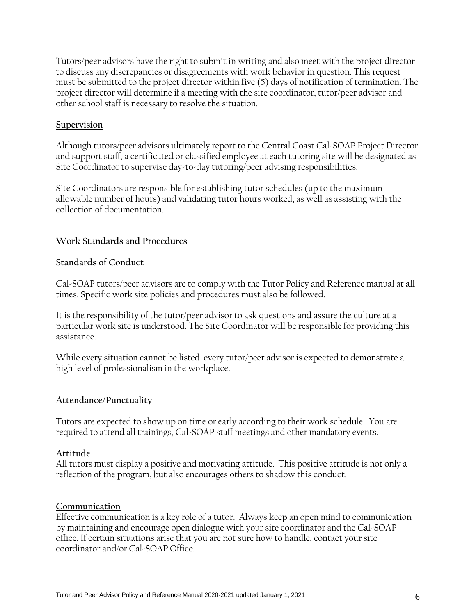Tutors/peer advisors have the right to submit in writing and also meet with the project director to discuss any discrepancies or disagreements with work behavior in question. This request must be submitted to the project director within five (5) days of notification of termination. The project director will determine if a meeting with the site coordinator, tutor/peer advisor and other school staff is necessary to resolve the situation.

#### **Supervision**

Although tutors/peer advisors ultimately report to the Central Coast Cal-SOAP Project Director and support staff, a certificated or classified employee at each tutoring site will be designated as Site Coordinator to supervise day-to-day tutoring/peer advising responsibilities.

Site Coordinators are responsible for establishing tutor schedules (up to the maximum allowable number of hours) and validating tutor hours worked, as well as assisting with the collection of documentation.

# **Work Standards and Procedures**

#### **Standards of Conduct**

Cal-SOAP tutors/peer advisors are to comply with the Tutor Policy and Reference manual at all times. Specific work site policies and procedures must also be followed.

It is the responsibility of the tutor/peer advisor to ask questions and assure the culture at a particular work site is understood. The Site Coordinator will be responsible for providing this assistance.

While every situation cannot be listed, every tutor/peer advisor is expected to demonstrate a high level of professionalism in the workplace.

# **Attendance/Punctuality**

Tutors are expected to show up on time or early according to their work schedule. You are required to attend all trainings, Cal-SOAP staff meetings and other mandatory events.

#### **Attitude**

All tutors must display a positive and motivating attitude. This positive attitude is not only a reflection of the program, but also encourages others to shadow this conduct.

#### **Communication**

Effective communication is a key role of a tutor. Always keep an open mind to communication by maintaining and encourage open dialogue with your site coordinator and the Cal-SOAP office. If certain situations arise that you are not sure how to handle, contact your site coordinator and/or Cal-SOAP Office.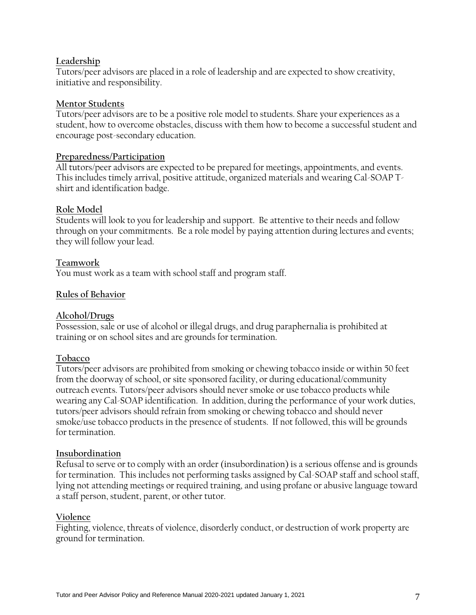#### **Leadership**

Tutors/peer advisors are placed in a role of leadership and are expected to show creativity, initiative and responsibility.

#### **Mentor Students**

Tutors/peer advisors are to be a positive role model to students. Share your experiences as a student, how to overcome obstacles, discuss with them how to become a successful student and encourage post-secondary education.

#### **Preparedness/Participation**

All tutors/peer advisors are expected to be prepared for meetings, appointments, and events. This includes timely arrival, positive attitude, organized materials and wearing Cal-SOAP Tshirt and identification badge.

#### **Role Model**

Students will look to you for leadership and support. Be attentive to their needs and follow through on your commitments. Be a role model by paying attention during lectures and events; they will follow your lead.

# **Teamwork**

You must work as a team with school staff and program staff.

#### **Rules of Behavior**

# **Alcohol/Drugs**

Possession, sale or use of alcohol or illegal drugs, and drug paraphernalia is prohibited at training or on school sites and are grounds for termination.

# **Tobacco**

Tutors/peer advisors are prohibited from smoking or chewing tobacco inside or within 50 feet from the doorway of school, or site sponsored facility, or during educational/community outreach events. Tutors/peer advisors should never smoke or use tobacco products while wearing any Cal-SOAP identification. In addition, during the performance of your work duties, tutors/peer advisors should refrain from smoking or chewing tobacco and should never smoke/use tobacco products in the presence of students. If not followed, this will be grounds for termination.

#### **Insubordination**

Refusal to serve or to comply with an order (insubordination) is a serious offense and is grounds for termination. This includes not performing tasks assigned by Cal-SOAP staff and school staff, lying not attending meetings or required training, and using profane or abusive language toward a staff person, student, parent, or other tutor.

#### **Violence**

Fighting, violence, threats of violence, disorderly conduct, or destruction of work property are ground for termination.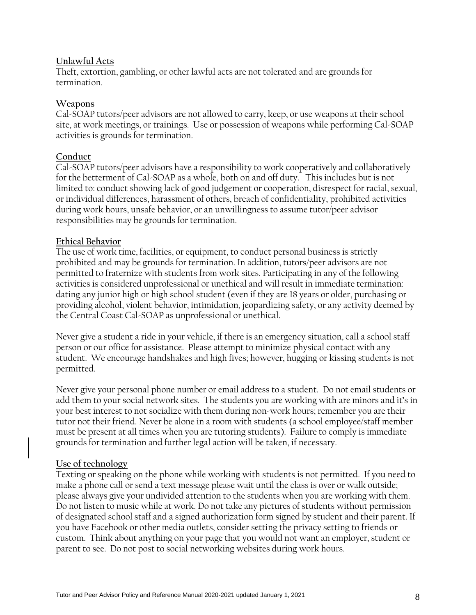#### **Unlawful Acts**

Theft, extortion, gambling, or other lawful acts are not tolerated and are grounds for termination.

#### **Weapons**

Cal-SOAP tutors/peer advisors are not allowed to carry, keep, or use weapons at their school site, at work meetings, or trainings. Use or possession of weapons while performing Cal-SOAP activities is grounds for termination.

#### **Conduct**

Cal-SOAP tutors/peer advisors have a responsibility to work cooperatively and collaboratively for the betterment of Cal-SOAP as a whole, both on and off duty. This includes but is not limited to: conduct showing lack of good judgement or cooperation, disrespect for racial, sexual, or individual differences, harassment of others, breach of confidentiality, prohibited activities during work hours, unsafe behavior, or an unwillingness to assume tutor/peer advisor responsibilities may be grounds for termination.

#### **Ethical Behavior**

The use of work time, facilities, or equipment, to conduct personal business is strictly prohibited and may be grounds for termination. In addition, tutors/peer advisors are not permitted to fraternize with students from work sites. Participating in any of the following activities is considered unprofessional or unethical and will result in immediate termination: dating any junior high or high school student (even if they are 18 years or older, purchasing or providing alcohol, violent behavior, intimidation, jeopardizing safety, or any activity deemed by the Central Coast Cal-SOAP as unprofessional or unethical.

Never give a student a ride in your vehicle, if there is an emergency situation, call a school staff person or our office for assistance. Please attempt to minimize physical contact with any student. We encourage handshakes and high fives; however, hugging or kissing students is not permitted.

Never give your personal phone number or email address to a student. Do not email students or add them to your social network sites. The students you are working with are minors and it's in your best interest to not socialize with them during non-work hours; remember you are their tutor not their friend. Never be alone in a room with students (a school employee/staff member must be present at all times when you are tutoring students). Failure to comply is immediate grounds for termination and further legal action will be taken, if necessary.

# **Use of technology**

Texting or speaking on the phone while working with students is not permitted. If you need to make a phone call or send a text message please wait until the class is over or walk outside; please always give your undivided attention to the students when you are working with them. Do not listen to music while at work. Do not take any pictures of students without permission of designated school staff and a signed authorization form signed by student and their parent. If you have Facebook or other media outlets, consider setting the privacy setting to friends or custom. Think about anything on your page that you would not want an employer, student or parent to see. Do not post to social networking websites during work hours.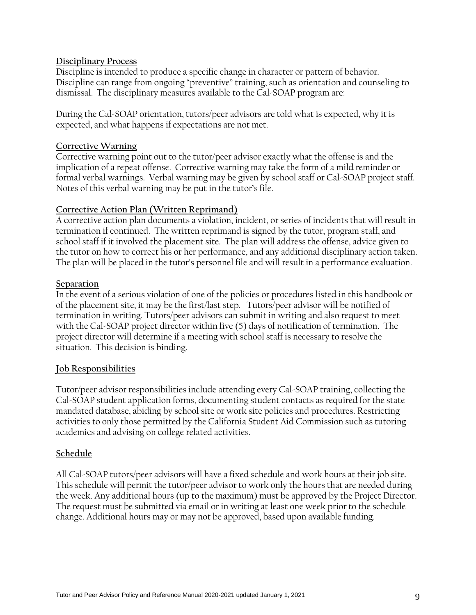#### **Disciplinary Process**

Discipline is intended to produce a specific change in character or pattern of behavior. Discipline can range from ongoing "preventive" training, such as orientation and counseling to dismissal. The disciplinary measures available to the Cal-SOAP program are:

During the Cal-SOAP orientation, tutors/peer advisors are told what is expected, why it is expected, and what happens if expectations are not met.

#### **Corrective Warning**

Corrective warning point out to the tutor/peer advisor exactly what the offense is and the implication of a repeat offense. Corrective warning may take the form of a mild reminder or formal verbal warnings. Verbal warning may be given by school staff or Cal-SOAP project staff. Notes of this verbal warning may be put in the tutor's file.

#### **Corrective Action Plan (Written Reprimand)**

A corrective action plan documents a violation, incident, or series of incidents that will result in termination if continued. The written reprimand is signed by the tutor, program staff, and school staff if it involved the placement site. The plan will address the offense, advice given to the tutor on how to correct his or her performance, and any additional disciplinary action taken. The plan will be placed in the tutor's personnel file and will result in a performance evaluation.

#### **Separation**

In the event of a serious violation of one of the policies or procedures listed in this handbook or of the placement site, it may be the first/last step. Tutors/peer advisor will be notified of termination in writing. Tutors/peer advisors can submit in writing and also request to meet with the Cal-SOAP project director within five (5) days of notification of termination. The project director will determine if a meeting with school staff is necessary to resolve the situation. This decision is binding.

# **Job Responsibilities**

Tutor/peer advisor responsibilities include attending every Cal-SOAP training, collecting the Cal-SOAP student application forms, documenting student contacts as required for the state mandated database, abiding by school site or work site policies and procedures. Restricting activities to only those permitted by the California Student Aid Commission such as tutoring academics and advising on college related activities.

# **Schedule**

All Cal-SOAP tutors/peer advisors will have a fixed schedule and work hours at their job site. This schedule will permit the tutor/peer advisor to work only the hours that are needed during the week. Any additional hours (up to the maximum) must be approved by the Project Director. The request must be submitted via email or in writing at least one week prior to the schedule change. Additional hours may or may not be approved, based upon available funding.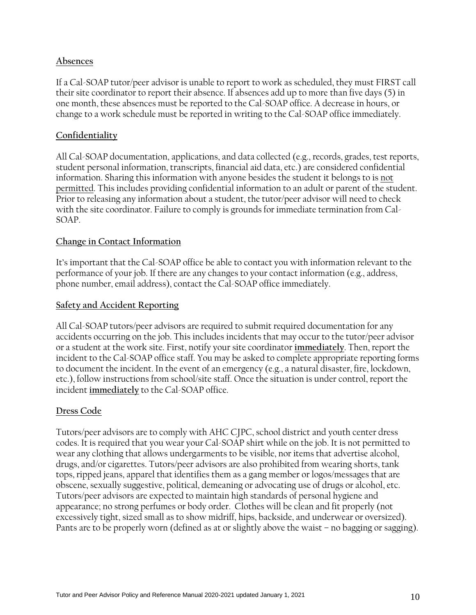# **Absences**

If a Cal-SOAP tutor/peer advisor is unable to report to work as scheduled, they must FIRST call their site coordinator to report their absence. If absences add up to more than five days (5) in one month, these absences must be reported to the Cal-SOAP office. A decrease in hours, or change to a work schedule must be reported in writing to the Cal-SOAP office immediately.

#### **Confidentiality**

All Cal-SOAP documentation, applications, and data collected (e.g., records, grades, test reports, student personal information, transcripts, financial aid data, etc.) are considered confidential information. Sharing this information with anyone besides the student it belongs to is not permitted. This includes providing confidential information to an adult or parent of the student. Prior to releasing any information about a student, the tutor/peer advisor will need to check with the site coordinator. Failure to comply is grounds for immediate termination from Cal-SOAP.

#### **Change in Contact Information**

It's important that the Cal-SOAP office be able to contact you with information relevant to the performance of your job. If there are any changes to your contact information (e.g., address, phone number, email address), contact the Cal-SOAP office immediately.

#### **Safety and Accident Reporting**

All Cal-SOAP tutors/peer advisors are required to submit required documentation for any accidents occurring on the job. This includes incidents that may occur to the tutor/peer advisor or a student at the work site. First, notify your site coordinator **immediately**. Then, report the incident to the Cal-SOAP office staff. You may be asked to complete appropriate reporting forms to document the incident. In the event of an emergency (e.g., a natural disaster, fire, lockdown, etc.), follow instructions from school/site staff. Once the situation is under control, report the incident **immediately** to the Cal-SOAP office.

#### **Dress Code**

Tutors/peer advisors are to comply with AHC CJPC, school district and youth center dress codes. It is required that you wear your Cal-SOAP shirt while on the job. It is not permitted to wear any clothing that allows undergarments to be visible, nor items that advertise alcohol, drugs, and/or cigarettes. Tutors/peer advisors are also prohibited from wearing shorts, tank tops, ripped jeans, apparel that identifies them as a gang member or logos/messages that are obscene, sexually suggestive, political, demeaning or advocating use of drugs or alcohol, etc. Tutors/peer advisors are expected to maintain high standards of personal hygiene and appearance; no strong perfumes or body order. Clothes will be clean and fit properly (not excessively tight, sized small as to show midriff, hips, backside, and underwear or oversized). Pants are to be properly worn (defined as at or slightly above the waist – no bagging or sagging).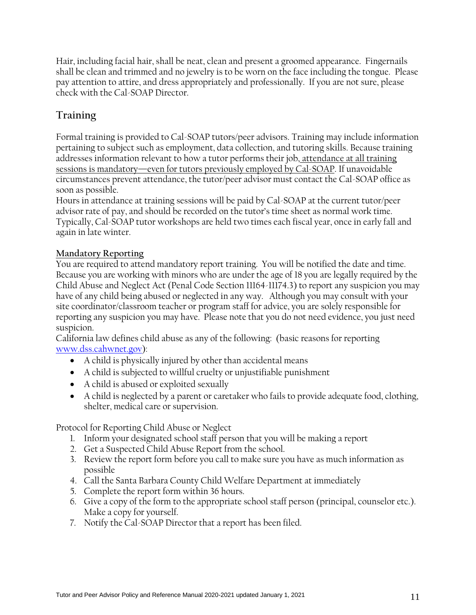Hair, including facial hair, shall be neat, clean and present a groomed appearance. Fingernails shall be clean and trimmed and no jewelry is to be worn on the face including the tongue. Please pay attention to attire, and dress appropriately and professionally. If you are not sure, please check with the Cal-SOAP Director.

# **Training**

Formal training is provided to Cal-SOAP tutors/peer advisors. Training may include information pertaining to subject such as employment, data collection, and tutoring skills. Because training addresses information relevant to how a tutor performs their job, attendance at all training sessions is mandatory—even for tutors previously employed by Cal-SOAP. If unavoidable circumstances prevent attendance, the tutor/peer advisor must contact the Cal-SOAP office as soon as possible.

Hours in attendance at training sessions will be paid by Cal-SOAP at the current tutor/peer advisor rate of pay, and should be recorded on the tutor's time sheet as normal work time. Typically, Cal-SOAP tutor workshops are held two times each fiscal year, once in early fall and again in late winter.

# **Mandatory Reporting**

You are required to attend mandatory report training. You will be notified the date and time. Because you are working with minors who are under the age of 18 you are legally required by the Child Abuse and Neglect Act (Penal Code Section 11164-11174.3) to report any suspicion you may have of any child being abused or neglected in any way. Although you may consult with your site coordinator/classroom teacher or program staff for advice, you are solely responsible for reporting any suspicion you may have. Please note that you do not need evidence, you just need suspicion.

California law defines child abuse as any of the following: (basic reasons for reporting [www.dss.cahwnet.gov\)](http://www.dss.cahwnet.gov/):

- A child is physically injured by other than accidental means
- A child is subjected to willful cruelty or unjustifiable punishment
- A child is abused or exploited sexually
- A child is neglected by a parent or caretaker who fails to provide adequate food, clothing, shelter, medical care or supervision.

Protocol for Reporting Child Abuse or Neglect

- 1. Inform your designated school staff person that you will be making a report
- 2. Get a Suspected Child Abuse Report from the school.
- 3. Review the report form before you call to make sure you have as much information as possible
- 4. Call the Santa Barbara County Child Welfare Department at immediately
- 5. Complete the report form within 36 hours.
- 6. Give a copy of the form to the appropriate school staff person (principal, counselor etc.). Make a copy for yourself.
- 7. Notify the Cal-SOAP Director that a report has been filed.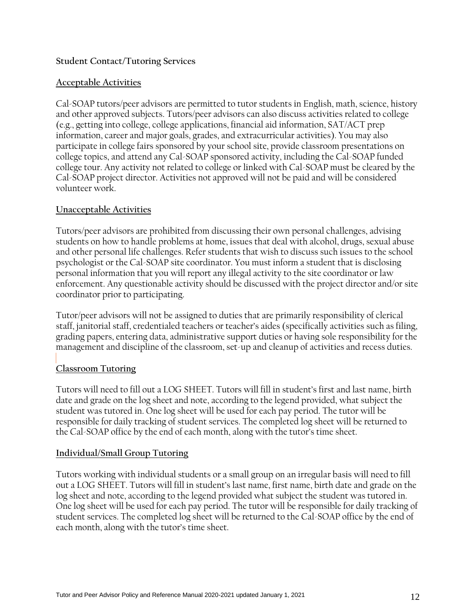#### **Student Contact/Tutoring Services**

#### **Acceptable Activities**

Cal-SOAP tutors/peer advisors are permitted to tutor students in English, math, science, history and other approved subjects. Tutors/peer advisors can also discuss activities related to college (e.g., getting into college, college applications, financial aid information, SAT/ACT prep information, career and major goals, grades, and extracurricular activities). You may also participate in college fairs sponsored by your school site, provide classroom presentations on college topics, and attend any Cal-SOAP sponsored activity, including the Cal-SOAP funded college tour. Any activity not related to college or linked with Cal-SOAP must be cleared by the Cal-SOAP project director. Activities not approved will not be paid and will be considered volunteer work.

# **Unacceptable Activities**

Tutors/peer advisors are prohibited from discussing their own personal challenges, advising students on how to handle problems at home, issues that deal with alcohol, drugs, sexual abuse and other personal life challenges. Refer students that wish to discuss such issues to the school psychologist or the Cal-SOAP site coordinator. You must inform a student that is disclosing personal information that you will report any illegal activity to the site coordinator or law enforcement. Any questionable activity should be discussed with the project director and/or site coordinator prior to participating.

Tutor/peer advisors will not be assigned to duties that are primarily responsibility of clerical staff, janitorial staff, credentialed teachers or teacher's aides (specifically activities such as filing, grading papers, entering data, administrative support duties or having sole responsibility for the management and discipline of the classroom, set-up and cleanup of activities and recess duties.

# **Classroom Tutoring**

Tutors will need to fill out a LOG SHEET. Tutors will fill in student's first and last name, birth date and grade on the log sheet and note, according to the legend provided, what subject the student was tutored in. One log sheet will be used for each pay period. The tutor will be responsible for daily tracking of student services. The completed log sheet will be returned to the Cal-SOAP office by the end of each month, along with the tutor's time sheet.

# **Individual/Small Group Tutoring**

Tutors working with individual students or a small group on an irregular basis will need to fill out a LOG SHEET. Tutors will fill in student's last name, first name, birth date and grade on the log sheet and note, according to the legend provided what subject the student was tutored in. One log sheet will be used for each pay period. The tutor will be responsible for daily tracking of student services. The completed log sheet will be returned to the Cal-SOAP office by the end of each month, along with the tutor's time sheet.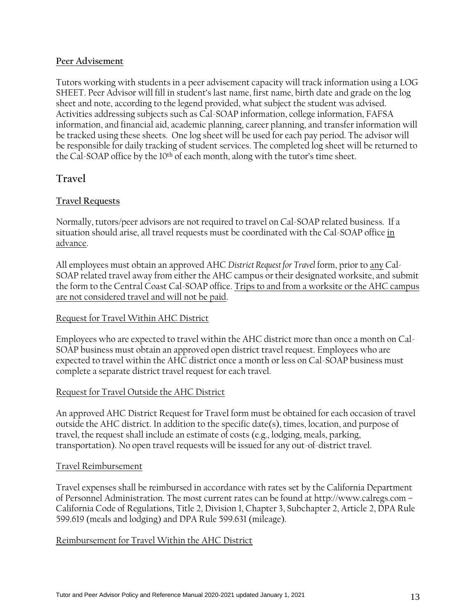#### **Peer Advisement**

Tutors working with students in a peer advisement capacity will track information using a LOG SHEET. Peer Advisor will fill in student's last name, first name, birth date and grade on the log sheet and note, according to the legend provided, what subject the student was advised. Activities addressing subjects such as Cal-SOAP information, college information, FAFSA information, and financial aid, academic planning, career planning, and transfer information will be tracked using these sheets. One log sheet will be used for each pay period. The advisor will be responsible for daily tracking of student services. The completed log sheet will be returned to the Cal-SOAP office by the 10<sup>th</sup> of each month, along with the tutor's time sheet.

# **Travel**

# **Travel Requests**

Normally, tutors/peer advisors are not required to travel on Cal-SOAP related business. If a situation should arise, all travel requests must be coordinated with the Cal-SOAP office in advance.

All employees must obtain an approved AHC *District Request for Travel* form, prior to any Cal-SOAP related travel away from either the AHC campus or their designated worksite, and submit the form to the Central Coast Cal-SOAP office. Trips to and from a worksite or the AHC campus are not considered travel and will not be paid.

# Request for Travel Within AHC District

Employees who are expected to travel within the AHC district more than once a month on Cal-SOAP business must obtain an approved open district travel request. Employees who are expected to travel within the AHC district once a month or less on Cal-SOAP business must complete a separate district travel request for each travel.

# Request for Travel Outside the AHC District

An approved AHC District Request for Travel form must be obtained for each occasion of travel outside the AHC district. In addition to the specific date(s), times, location, and purpose of travel, the request shall include an estimate of costs (e.g., lodging, meals, parking, transportation). No open travel requests will be issued for any out-of-district travel.

#### Travel Reimbursement

Travel expenses shall be reimbursed in accordance with rates set by the California Department of Personnel Administration. The most current rates can be found at http://www.calregs.com – California Code of Regulations, Title 2, Division 1, Chapter 3, Subchapter 2, Article 2, DPA Rule 599.619 (meals and lodging) and DPA Rule 599.631 (mileage).

# Reimbursement for Travel Within the AHC District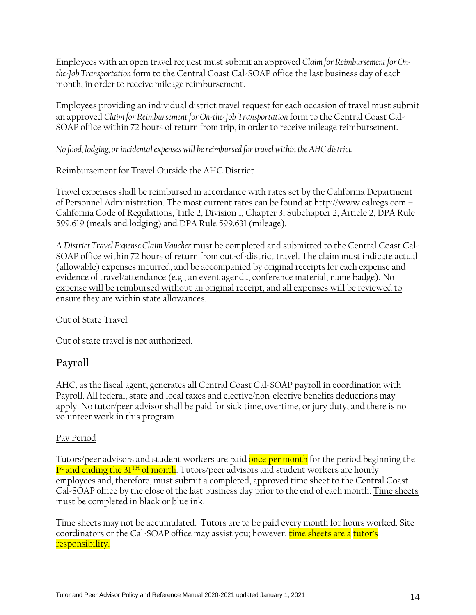Employees with an open travel request must submit an approved *Claim for Reimbursement for Onthe-Job Transportation* form to the Central Coast Cal-SOAP office the last business day of each month, in order to receive mileage reimbursement.

Employees providing an individual district travel request for each occasion of travel must submit an approved *Claim for Reimbursement for On-the-Job Transportation* form to the Central Coast Cal-SOAP office within 72 hours of return from trip, in order to receive mileage reimbursement.

# *No food, lodging, or incidental expenses will be reimbursed for travel within the AHC district.*

# Reimbursement for Travel Outside the AHC District

Travel expenses shall be reimbursed in accordance with rates set by the California Department of Personnel Administration. The most current rates can be found at http://www.calregs.com – California Code of Regulations, Title 2, Division 1, Chapter 3, Subchapter 2, Article 2, DPA Rule 599.619 (meals and lodging) and DPA Rule 599.631 (mileage).

A *District Travel Expense Claim Voucher* must be completed and submitted to the Central Coast Cal-SOAP office within 72 hours of return from out-of-district travel. The claim must indicate actual (allowable) expenses incurred, and be accompanied by original receipts for each expense and evidence of travel/attendance (e.g., an event agenda, conference material, name badge). No expense will be reimbursed without an original receipt, and all expenses will be reviewed to ensure they are within state allowances.

# Out of State Travel

Out of state travel is not authorized.

# **Payroll**

AHC, as the fiscal agent, generates all Central Coast Cal-SOAP payroll in coordination with Payroll. All federal, state and local taxes and elective/non-elective benefits deductions may apply. No tutor/peer advisor shall be paid for sick time, overtime, or jury duty, and there is no volunteer work in this program.

# Pay Period

Tutors/peer advisors and student workers are paid once per month for the period beginning the l<sup>st</sup> and ending the 31<sup>TH</sup> of month. Tutors/peer advisors and student workers are hourly employees and, therefore, must submit a completed, approved time sheet to the Central Coast Cal-SOAP office by the close of the last business day prior to the end of each month. Time sheets must be completed in black or blue ink.

Time sheets may not be accumulated. Tutors are to be paid every month for hours worked. Site coordinators or the Cal-SOAP office may assist you; however, time sheets are a tutor's responsibility.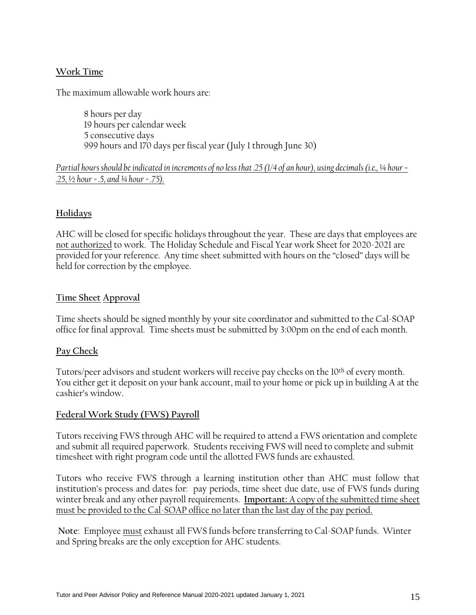# **Work Time**

The maximum allowable work hours are:

8 hours per day 19 hours per calendar week 5 consecutive days 999 hours and 170 days per fiscal year (July 1 through June 30)

# *Partial hours should be indicated in increments of no less that .25 (1/4 of an hour), using decimals (i.e., ¼ hour = .25, ½ hour = .5, and ¾ hour = .75).*

# **Holidays**

AHC will be closed for specific holidays throughout the year. These are days that employees are not authorized to work. The Holiday Schedule and Fiscal Year work Sheet for 2020-2021 are provided for your reference. Any time sheet submitted with hours on the "closed" days will be held for correction by the employee.

# **Time Sheet Approval**

Time sheets should be signed monthly by your site coordinator and submitted to the Cal-SOAP office for final approval. Time sheets must be submitted by 3:00pm on the end of each month.

# **Pay Check**

Tutors/peer advisors and student workers will receive pay checks on the 10th of every month. You either get it deposit on your bank account, mail to your home or pick up in building A at the cashier's window.

# **Federal Work Study (FWS) Payroll**

Tutors receiving FWS through AHC will be required to attend a FWS orientation and complete and submit all required paperwork. Students receiving FWS will need to complete and submit timesheet with right program code until the allotted FWS funds are exhausted.

Tutors who receive FWS through a learning institution other than AHC must follow that institution's process and dates for: pay periods, time sheet due date, use of FWS funds during winter break and any other payroll requirements. **Important:** A copy of the submitted time sheet must be provided to the Cal-SOAP office no later than the last day of the pay period.

**Note**: Employee must exhaust all FWS funds before transferring to Cal-SOAP funds. Winter and Spring breaks are the only exception for AHC students.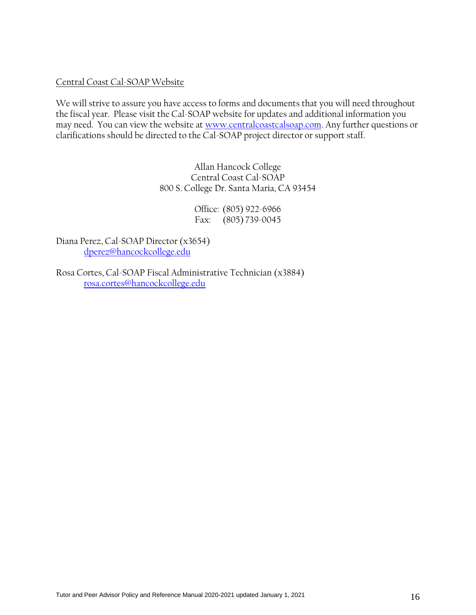#### Central Coast Cal-SOAP Website

We will strive to assure you have access to forms and documents that you will need throughout the fiscal year. Please visit the Cal-SOAP website for updates and additional information you may need. You can view the website at [www.centralcoastcalsoap.com.](http://www.centralcoastcalsoap.com/) Any further questions or clarifications should be directed to the Cal-SOAP project director or support staff.

> Allan Hancock College Central Coast Cal-SOAP 800 S. College Dr. Santa Maria, CA 93454

> > Office: (805) 922-6966 Fax: (805) 739-0045

Diana Perez, Cal-SOAP Director (x3654) [dperez@hancockcollege.edu](mailto:dperez@hancockcollege.edu)

Rosa Cortes, Cal-SOAP Fiscal Administrative Technician (x3884) [rosa.cortes@hancockcollege.edu](mailto:rosa.cortes@hancockcollege.edu)